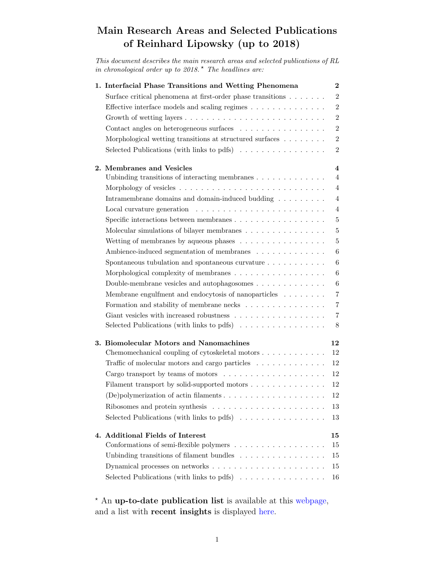# Main Research Areas and Selected Publications of Reinhard Lipowsky (up to 2018)

This document describes the main research areas and selected publications of RL in chronological order up to  $2018.*$  The headlines are:

| 1. Interfacial Phase Transitions and Wetting Phenomena                                 | $\bf{2}$                |
|----------------------------------------------------------------------------------------|-------------------------|
| Surface critical phenomena at first-order phase transitions $\ldots \ldots$            | $\overline{2}$          |
| Effective interface models and scaling regimes                                         | $\overline{2}$          |
| Growth of wetting layers $\dots \dots \dots \dots \dots \dots \dots \dots \dots \dots$ | $\overline{2}$          |
| Contact angles on heterogeneous surfaces                                               | $\overline{2}$          |
| Morphological wetting transitions at structured surfaces                               | $\overline{2}$          |
|                                                                                        |                         |
| Selected Publications (with links to pdfs) $\ldots \ldots \ldots \ldots \ldots$        | $\overline{2}$          |
| 2. Membranes and Vesicles                                                              | $\overline{\mathbf{4}}$ |
| Unbinding transitions of interacting membranes $\ldots \ldots \ldots \ldots$           | $\overline{4}$          |
|                                                                                        | $\overline{4}$          |
| Intramembrane domains and domain-induced budding $\ldots \ldots \ldots$                | $\overline{4}$          |
|                                                                                        | $\overline{4}$          |
|                                                                                        |                         |
| Specific interactions between membranes $\ldots \ldots \ldots \ldots \ldots \ldots$    | $\bf 5$                 |
| Molecular simulations of bilayer membranes                                             | $\bf 5$                 |
| Wetting of membranes by aqueous phases $\dots \dots \dots \dots \dots$                 | $\overline{5}$          |
| Ambience-induced segmentation of membranes                                             | 6                       |
| Spontaneous tubulation and spontaneous curvature $\ldots \ldots \ldots$                | 6                       |
| Morphological complexity of membranes                                                  | 6                       |
| Double-membrane vesicles and autophagosomes $\dots \dots \dots \dots$                  | 6                       |
| Membrane engulfment and endocytosis of nanoparticles                                   | $\overline{7}$          |
| Formation and stability of membrane necks $\ldots \ldots \ldots \ldots \ldots$         | $\overline{7}$          |
| Giant vesicles with increased robustness                                               | 7                       |
| Selected Publications (with links to pdfs) $\dots \dots \dots \dots \dots$             | 8                       |
|                                                                                        |                         |
| 3. Biomolecular Motors and Nanomachines                                                | 12                      |
| Chemomechanical coupling of cytoskeletal motors                                        | 12                      |
| Traffic of molecular motors and cargo particles $\ldots \ldots \ldots \ldots$          | 12                      |
| Cargo transport by teams of motors $\dots \dots \dots \dots \dots \dots$               | 12                      |
| Filament transport by solid-supported motors                                           | 12                      |
| (De) polymerization of actin filaments $\ldots \ldots \ldots \ldots \ldots$            | 12                      |
| Ribosomes and protein synthesis $\ldots \ldots \ldots \ldots \ldots \ldots \ldots$     | 13                      |
| Selected Publications (with links to pdfs) $\ldots \ldots \ldots \ldots \ldots$        | 13                      |
|                                                                                        |                         |
| 4. Additional Fields of Interest                                                       | 15                      |
| Conformations of semi-flexible polymers                                                | 15                      |
| Unbinding transitions of filament bundles                                              | 15                      |
|                                                                                        | 15                      |
| Selected Publications (with links to pdfs) $\ldots \ldots \ldots \ldots \ldots$        | 16                      |

? An up-to-date publication list is available at this [webpage,](http://www.mpikg.mpg.de/rl/P/indexP.html) and a list with recent insights is displayed [here.](http://www.mpikg.mpg.de/rl/P/listInsights.html)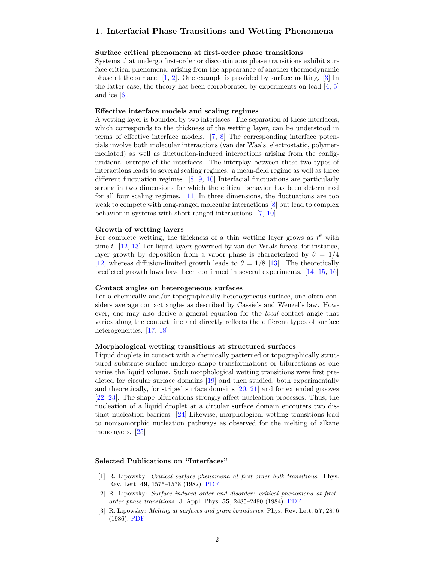# <span id="page-1-1"></span><span id="page-1-0"></span>1. Interfacial Phase Transitions and Wetting Phenomena

#### Surface critical phenomena at first-order phase transitions

Systems that undergo first-order or discontinuous phase transitions exhibit surface critical phenomena, arising from the appearance of another thermodynamic phase at the surface. [\[1,](#page-1-2) [2\]](#page-1-3). One example is provided by surface melting. [\[3\]](#page-1-4) In the latter case, the theory has been corroborated by experiments on lead  $[4, 5]$  $[4, 5]$  $[4, 5]$ and ice  $[6]$ .

#### Effective interface models and scaling regimes

A wetting layer is bounded by two interfaces. The separation of these interfaces, which corresponds to the thickness of the wetting layer, can be understood in terms of effective interface models. [\[7,](#page-2-3) [8\]](#page-2-4) The corresponding interface potentials involve both molecular interactions (van der Waals, electrostatic, polymermediated) as well as fluctuation-induced interactions arising from the configurational entropy of the interfaces. The interplay between these two types of interactions leads to several scaling regimes: a mean-field regime as well as three different fluctuation regimes. [\[8,](#page-2-4) [9,](#page-2-5) [10\]](#page-2-6) Interfacial fluctuations are particularly strong in two dimensions for which the critical behavior has been determined for all four scaling regimes. [\[11\]](#page-2-7) In three dimensions, the fluctuations are too weak to compete with long-ranged molecular interactions [\[8\]](#page-2-4) but lead to complex behavior in systems with short-ranged interactions. [\[7,](#page-2-3) [10\]](#page-2-6)

#### Growth of wetting layers

For complete wetting, the thickness of a thin wetting layer grows as  $t^{\theta}$  with time t. [\[12,](#page-2-8) [13\]](#page-2-9) For liquid layers governed by van der Waals forces, for instance, layer growth by deposition from a vapor phase is characterized by  $\theta = 1/4$ [\[12\]](#page-2-8) whereas diffusion-limited growth leads to  $\theta = 1/8$  [\[13\]](#page-2-9). The theoretically predicted growth laws have been confirmed in several experiments. [\[14,](#page-2-10) [15,](#page-2-11) [16\]](#page-2-12)

## Contact angles on heterogeneous surfaces

For a chemically and/or topographically heterogeneous surface, one often considers average contact angles as described by Cassie's and Wenzel's law. However, one may also derive a general equation for the local contact angle that varies along the contact line and directly reflects the different types of surface heterogeneities. [\[17,](#page-2-13) [18\]](#page-2-14)

#### Morphological wetting transitions at structured surfaces

Liquid droplets in contact with a chemically patterned or topographically structured substrate surface undergo shape transformations or bifurcations as one varies the liquid volume. Such morphological wetting transitions were first predicted for circular surface domains [\[19\]](#page-2-15) and then studied, both experimentally and theoretically, for striped surface domains [\[20,](#page-2-16) [21\]](#page-2-17) and for extended grooves [\[22,](#page-2-18) [23\]](#page-2-19). The shape bifurcations strongly affect nucleation processes. Thus, the nucleation of a liquid droplet at a circular surface domain encouters two distinct nucleation barriers. [\[24\]](#page-2-20) Likewise, morphological wetting transitions lead to nonisomorphic nucleation pathways as observed for the melting of alkane monolayers. [\[25\]](#page-2-21)

## Selected Publications on "Interfaces"

- <span id="page-1-2"></span>[1] R. Lipowsky: Critical surface phenomena at first order bulk transitions. Phys. Rev. Lett. 49, 1575–1578 (1982). [PDF](http://www.mpikg.mpg.de/rl/P/archive/009.pdf)
- <span id="page-1-3"></span>[2] R. Lipowsky: Surface induced order and disorder: critical phenomena at first– order phase transitions. J. Appl. Phys. 55, 2485–2490 (1984). [PDF](http://www.mpikg.mpg.de/rl/P/archive/018.pdf)
- <span id="page-1-4"></span>[3] R. Lipowsky: Melting at surfaces and grain boundaries. Phys. Rev. Lett. 57, 2876 (1986). [PDF](http://www.mpikg.mpg.de/rl/P/archive/034.pdf)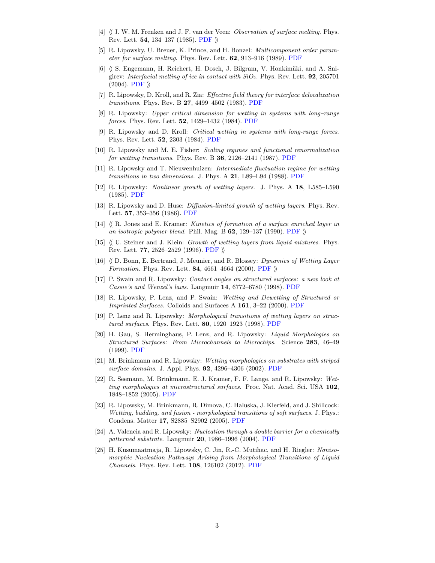- <span id="page-2-0"></span>[4]  $\langle$  J. W. M. Frenken and J. F. van der Veen: *Observation of surface melting*. Phys. Rev. Lett. 54, 134–137 (1985). [PDF](http://www.mpikg.mpg.de/rl/P/archive3/fren85.pdf)  $\parallel$
- <span id="page-2-1"></span>[5] R. Lipowsky, U. Breuer, K. Prince, and H. Bonzel: Multicomponent order parameter for surface melting. Phys. Rev. Lett. 62, 913–916 (1989). [PDF](http://www.mpikg.mpg.de/rl/P/archive/056.pdf)
- <span id="page-2-2"></span>[6]  $\langle$  S. Engemann, H. Reichert, H. Dosch, J. Bilgram, V. Honkimäki, and A. Snigirev: Interfacial melting of ice in contact with  $SiO<sub>2</sub>$ . Phys. Rev. Lett. **92**, 205701  $(2004)$ . [PDF](http://www.mpikg.mpg.de/rl/P/archive3/enge04.pdf)  $\rangle$
- <span id="page-2-3"></span>[7] R. Lipowsky, D. Kroll, and R. Zia: Effective field theory for interface delocalization transitions. Phys. Rev. B 27, 4499–4502 (1983). [PDF](http://www.mpikg.mpg.de/rl/P/archive/012.pdf)
- <span id="page-2-4"></span>[8] R. Lipowsky: Upper critical dimension for wetting in systems with long–range forces. Phys. Rev. Lett. 52, 1429–1432 (1984). [PDF](http://www.mpikg.mpg.de/rl/P/archive/019.pdf)
- <span id="page-2-5"></span>[9] R. Lipowsky and D. Kroll: Critical wetting in systems with long-range forces. Phys. Rev. Lett. 52, 2303 (1984). [PDF](http://www.mpikg.mpg.de/rl/P/archive/022.pdf)
- <span id="page-2-6"></span>[10] R. Lipowsky and M. E. Fisher: Scaling regimes and functional renormalization for wetting transitions. Phys. Rev. B 36, 2126–2141 (1987). [PDF](http://www.mpikg.mpg.de/rl/P/archive/039.pdf)
- <span id="page-2-7"></span>[11] R. Lipowsky and T. Nieuwenhuizen: Intermediate fluctuation regime for wetting transitions in two dimensions. J. Phys. A 21, L89–L94 (1988). [PDF](http://www.mpikg.mpg.de/rl/P/archive/047.pdf)
- <span id="page-2-8"></span>[12] R. Lipowsky: Nonlinear growth of wetting layers. J. Phys. A 18, L585–L590 (1985). [PDF](http://www.mpikg.mpg.de/rl/P/archive/026.pdf)
- <span id="page-2-9"></span>[13] R. Lipowsky and D. Huse: Diffusion-limited growth of wetting layers. Phys. Rev. Lett. 57, 353–356 (1986). [PDF](http://www.mpikg.mpg.de/rl/P/archive/032.pdf)
- <span id="page-2-10"></span>[14]  $\langle R$ . Jones and E. Kramer: Kinetics of formation of a surface enriched layer in an isotropic polymer blend. Phil. Mag. B  $62$ , 129–137 (1990). [PDF](http://www.mpikg.mpg.de/rl/P/archive3/jone90.pdf)  $\rangle$
- <span id="page-2-11"></span> $[15]$   $\langle\langle$  U. Steiner and J. Klein: *Growth of wetting layers from liquid mixtures*. Phys. Rev. Lett. 77, 2526–2529 (1996). [PDF](http://www.mpikg.mpg.de/rl/P/archive3/stei96.pdf)  $\rangle\!\rangle$
- <span id="page-2-12"></span>[16]  $\langle D \rangle$  D. Bonn, E. Bertrand, J. Meunier, and R. Blossey: *Dynamics of Wetting Layer* Formation. Phys. Rev. Lett. 84, 4661-4664 (2000). [PDF](http://www.mpikg.mpg.de/rl/P/archive3/bonn00.pdf)  $\rangle\!\rangle$
- <span id="page-2-13"></span>[17] P. Swain and R. Lipowsky: Contact angles on structured surfaces: a new look at Cassie's and Wenzel's laws. Langmuir 14, 6772–6780 (1998). [PDF](http://www.mpikg.mpg.de/rl/P/archive/152.pdf)
- <span id="page-2-14"></span>[18] R. Lipowsky, P. Lenz, and P. Swain: Wetting and Dewetting of Structured or Imprinted Surfaces. Colloids and Surfaces A 161, 3–22 (2000). [PDF](http://www.mpikg.mpg.de/rl/P/archive/162.pdf)
- <span id="page-2-15"></span>[19] P. Lenz and R. Lipowsky: Morphological transitions of wetting layers on structured surfaces. Phys. Rev. Lett. 80, 1920–1923 (1998). [PDF](http://www.mpikg.mpg.de/rl/P/archive/140.pdf)
- <span id="page-2-16"></span>[20] H. Gau, S. Herminghaus, P. Lenz, and R. Lipowsky: Liquid Morphologies on Structured Surfaces: From Microchannels to Microchips. Science 283, 46–49 (1999). [PDF](http://www.mpikg.mpg.de/rl/P/archive/153.pdf)
- <span id="page-2-17"></span>[21] M. Brinkmann and R. Lipowsky: Wetting morphologies on substrates with striped surface domains. J. Appl. Phys. 92, 4296–4306 (2002). [PDF](http://www.mpikg.mpg.de/rl/P/archive/185.pdf)
- <span id="page-2-18"></span>[22] R. Seemann, M. Brinkmann, E. J. Kramer, F. F. Lange, and R. Lipowsky: Wetting morphologies at microstructured surfaces. Proc. Nat. Acad. Sci. USA 102, 1848–1852 (2005). [PDF](http://www.mpikg.mpg.de/rl/P/archive/211.pdf)
- <span id="page-2-19"></span>[23] R. Lipowsky, M. Brinkmann, R. Dimova, C. Haluska, J. Kierfeld, and J. Shillcock: Wetting, budding, and fusion - morphological transitions of soft surfaces. J. Phys.: Condens. Matter 17, S2885–S2902 (2005). [PDF](http://www.mpikg.mpg.de/rl/P/archive/231.pdf)
- <span id="page-2-20"></span>[24] A. Valencia and R. Lipowsky: Nucleation through a double barrier for a chemically patterned substrate. Langmuir 20, 1986–1996 (2004). [PDF](http://www.mpikg.mpg.de/rl/P/archive/169.pdf)
- <span id="page-2-21"></span>[25] H. Kusumaatmaja, R. Lipowsky, C. Jin, R.-C. Mutihac, and H. Riegler: Nonisomorphic Nucleation Pathways Arising from Morphological Transitions of Liquid Channels. Phys. Rev. Lett. 108, 126102 (2012). [PDF](http://www.mpikg.mpg.de/rl/P/archive/331.pdf)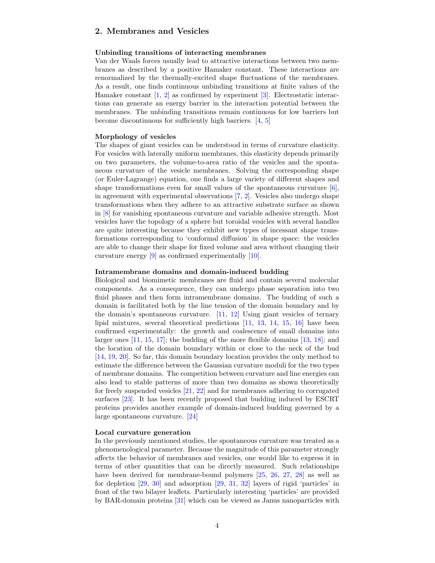# <span id="page-3-0"></span>2. Membranes and Vesicles

## <span id="page-3-1"></span>Unbinding transitions of interacting membranes

Van der Waals forces usually lead to attractive interactions between two membranes as described by a positive Hamaker constant. These interactions are renormalized by the thermally-excited shape fluctuations of the membranes. As a result, one finds continuous unbinding transitions at finite values of the Hamaker constant [\[1,](#page-7-0) [2\]](#page-7-1) as confirmed by experiment [\[3\]](#page-7-2). Electrostatic interactions can generate an energy barrier in the interaction potential between the membranes. The unbinding transitions remain continuous for low barriers but become discontinuous for sufficiently high barriers. [\[4,](#page-7-3) [5\]](#page-7-4)

#### Morphology of vesicles

The shapes of giant vesicles can be understood in terms of curvature elasticity. For vesicles with laterally uniform membranes, this elasticity depends primarily on two parameters, the volume-to-area ratio of the vesicles and the spontaneous curvature of the vesicle membranes. Solving the corresponding shape (or Euler-Lagrange) equation, one finds a large variety of different shapes and shape transformations even for small values of the spontaneous curvature  $[6]$ , in agreement with experimental observations [\[7,](#page-7-6) [2\]](#page-7-1). Vesicles also undergo shape transformations when they adhere to an attractive substrate surface as shown in [\[8\]](#page-7-7) for vanishing spontaneous curvature and variable adhesive strength. Most vesicles have the topology of a sphere but toroidal vesicles with several handles are quite interesting because they exhibit new types of incessant shape transformations corresponding to 'conformal diffusion' in shape space: the vesicles are able to change their shape for fixed volume and area without changing their curvature energy [\[9\]](#page-7-8) as confirmed experimentally [\[10\]](#page-7-9).

#### Intramembrane domains and domain-induced budding

Biological and biomimetic membranes are fluid and contain several molecular components. As a consequence, they can undergo phase separation into two fluid phases and then form intramembrane domains. The budding of such a domain is facilitated both by the line tension of the domain boundary and by the domain's spontaneous curvature. [\[11,](#page-7-10) [12\]](#page-7-11) Using giant vesicles of ternary lipid mixtures, several theoretical predictions [\[11,](#page-7-10) [13,](#page-7-12) [14,](#page-7-13) [15,](#page-7-14) [16\]](#page-7-15) have been confirmed experimentally: the growth and coalescence of small domains into larger ones [\[11,](#page-7-10) [15,](#page-7-14) [17\]](#page-7-16); the budding of the more flexible domains [\[13,](#page-7-12) [18\]](#page-7-17); and the location of the domain boundary within or close to the neck of the bud [\[14,](#page-7-13) [19,](#page-7-18) [20\]](#page-7-19). So far, this domain boundary location provides the only method to estimate the difference between the Gaussian curvature moduli for the two types of membrane domains. The competition between curvature and line energies can also lead to stable patterns of more than two domains as shown theoretically for freely suspended vesicles [\[21,](#page-7-20) [22\]](#page-8-0) and for membranes adhering to corrugated surfaces [\[23\]](#page-8-1). It has been recently proposed that budding induced by ESCRT proteins provides another example of domain-induced budding governed by a large spontaneous curvature. [\[24\]](#page-8-2)

#### Local curvature generation

In the previously mentioned studies, the spontaneous curvature was treated as a phenomenological parameter. Because the magnitude of this parameter strongly affects the behavior of membranes and vesicles, one would like to express it in terms of other quantities that can be directly measured. Such relationships have been derived for membrane-bound polymers [\[25,](#page-8-3) [26,](#page-8-4) [27,](#page-8-5) [28\]](#page-8-6) as well as for depletion [\[29,](#page-8-7) [30\]](#page-8-8) and adsorption [\[29,](#page-8-7) [31,](#page-8-9) [32\]](#page-8-10) layers of rigid 'particles' in front of the two bilayer leaflets. Particularly interesting 'particles' are provided by BAR-domain proteins [\[31\]](#page-8-9) which can be viewed as Janus nanoparticles with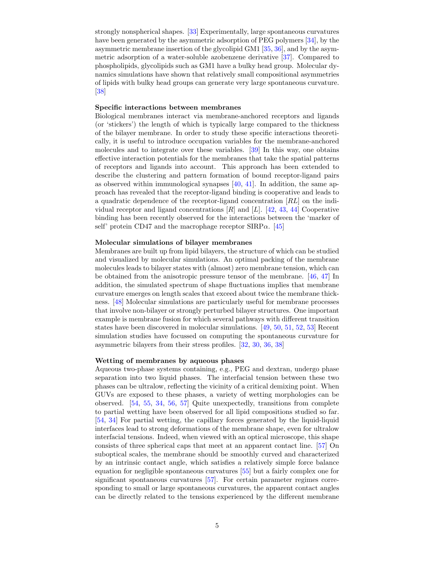strongly nonspherical shapes. [\[33\]](#page-8-11) Experimentally, large spontaneous curvatures have been generated by the asymmetric adsorption of PEG polymers [\[34\]](#page-8-12), by the asymmetric membrane insertion of the glycolipid GM1 [\[35,](#page-8-13) [36\]](#page-8-14), and by the asymmetric adsorption of a water-soluble azobenzene derivative [\[37\]](#page-8-15). Compared to phospholipids, glycolipids such as GM1 have a bulky head group. Molecular dynamics simulations have shown that relatively small compositional asymmetries of lipids with bulky head groups can generate very large spontaneous curvature. [\[38\]](#page-8-16)

#### Specific interactions between membranes

Biological membranes interact via membrane-anchored receptors and ligands (or 'stickers') the length of which is typically large compared to the thickness of the bilayer membrane. In order to study these specific interactions theoretically, it is useful to introduce occupation variables for the membrane-anchored molecules and to integrate over these variables. [\[39\]](#page-8-17) In this way, one obtains effective interaction potentials for the membranes that take the spatial patterns of receptors and ligands into account. This approach has been extended to describe the clustering and pattern formation of bound receptor-ligand pairs as observed within immunological synapses [\[40,](#page-8-18) [41\]](#page-8-19). In addition, the same approach has revealed that the receptor-ligand binding is cooperative and leads to a quadratic dependence of the receptor-ligand concentration [RL] on the individual receptor and ligand concentrations  $[R]$  and  $[L]$ . [\[42,](#page-8-20) [43,](#page-9-0) [44\]](#page-9-1) Cooperative binding has been recently observed for the interactions between the 'marker of self' protein CD47 and the macrophage receptor  $SIRP\alpha$ . [\[45\]](#page-9-2)

## Molecular simulations of bilayer membranes

Membranes are built up from lipid bilayers, the structure of which can be studied and visualized by molecular simulations. An optimal packing of the membrane molecules leads to bilayer states with (almost) zero membrane tension, which can be obtained from the anisotropic pressure tensor of the membrane. [\[46,](#page-9-3) [47\]](#page-9-4) In addition, the simulated spectrum of shape fluctuations implies that membrane curvature emerges on length scales that exceed about twice the membrane thickness. [\[48\]](#page-9-5) Molecular simulations are particularly useful for membrane processes that involve non-bilayer or strongly perturbed bilayer structures. One important example is membrane fusion for which several pathways with different transition states have been discovered in molecular simulations. [\[49,](#page-9-6) [50,](#page-9-7) [51,](#page-9-8) [52,](#page-9-9) [53\]](#page-9-10) Recent simulation studies have focussed on computing the spontaneous curvature for asymmetric bilayers from their stress profiles. [\[32,](#page-8-10) [30,](#page-8-8) [36,](#page-8-14) [38\]](#page-8-16)

## Wetting of membranes by aqueous phases

Aqueous two-phase systems containing, e.g., PEG and dextran, undergo phase separation into two liquid phases. The interfacial tension between these two phases can be ultralow, reflecting the vicinity of a critical demixing point. When GUVs are exposed to these phases, a variety of wetting morphologies can be observed. [\[54,](#page-9-11) [55,](#page-9-12) [34,](#page-8-12) [56,](#page-9-13) [57\]](#page-9-14) Quite unexpectedly, transitions from complete to partial wetting have been observed for all lipid compositions studied so far. [\[54,](#page-9-11) [34\]](#page-8-12) For partial wetting, the capillary forces generated by the liquid-liquid interfaces lead to strong deformations of the membrane shape, even for ultralow interfacial tensions. Indeed, when viewed with an optical microscope, this shape consists of three spherical caps that meet at an apparent contact line. [\[57\]](#page-9-14) On suboptical scales, the membrane should be smoothly curved and characterized by an intrinsic contact angle, which satisfies a relatively simple force balance equation for negligible spontaneous curvatures [\[55\]](#page-9-12) but a fairly complex one for significant spontaneous curvatures [\[57\]](#page-9-14). For certain parameter regimes corresponding to small or large spontaneous curvatures, the apparent contact angles can be directly related to the tensions experienced by the different membrane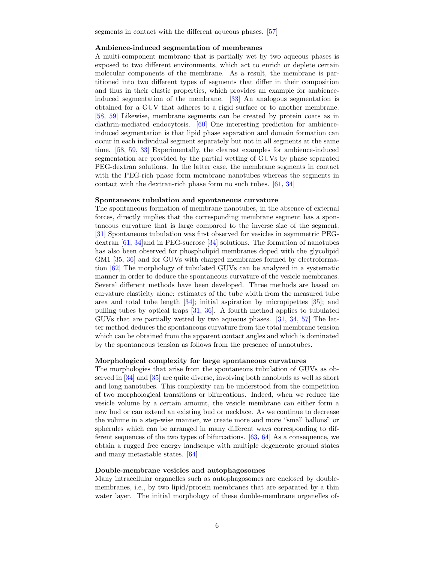segments in contact with the different aqueous phases. [\[57\]](#page-9-14)

#### Ambience-induced segmentation of membranes

A multi-component membrane that is partially wet by two aqueous phases is exposed to two different environments, which act to enrich or deplete certain molecular components of the membrane. As a result, the membrane is partitioned into two different types of segments that differ in their composition and thus in their elastic properties, which provides an example for ambienceinduced segmentation of the membrane. [\[33\]](#page-8-11) An analogous segmentation is obtained for a GUV that adheres to a rigid surface or to another membrane. [\[58,](#page-9-15) [59\]](#page-9-16) Likewise, membrane segments can be created by protein coats as in clathrin-mediated endocytosis. [\[60\]](#page-9-17) One interesting prediction for ambienceinduced segmentation is that lipid phase separation and domain formation can occur in each individual segment separately but not in all segments at the same time. [\[58,](#page-9-15) [59,](#page-9-16) [33\]](#page-8-11) Experimentally, the clearest examples for ambience-induced segmentation are provided by the partial wetting of GUVs by phase separated PEG-dextran solutions. In the latter case, the membrane segments in contact with the PEG-rich phase form membrane nanotubes whereas the segments in contact with the dextran-rich phase form no such tubes. [\[61,](#page-9-18) [34\]](#page-8-12)

#### Spontaneous tubulation and spontaneous curvature

The spontaneous formation of membrane nanotubes, in the absence of external forces, directly implies that the corresponding membrane segment has a spontaneous curvature that is large compared to the inverse size of the segment. [\[31\]](#page-8-9) Spontaneous tubulation was first observed for vesicles in asymmetric PEGdextran [\[61,](#page-9-18) [34\]](#page-8-12)and in PEG-sucrose [\[34\]](#page-8-12) solutions. The formation of nanotubes has also been observed for phospholipid membranes doped with the glycolipid GM1 [\[35,](#page-8-13) [36\]](#page-8-14) and for GUVs with charged membranes formed by electroformation [\[62\]](#page-9-19) The morphology of tubulated GUVs can be analyzed in a systematic manner in order to deduce the spontaneous curvature of the vesicle membranes. Several different methods have been developed. Three methods are based on curvature elasticity alone: estimates of the tube width from the measured tube area and total tube length [\[34\]](#page-8-12); initial aspiration by micropipettes [\[35\]](#page-8-13); and pulling tubes by optical traps [\[31,](#page-8-9) [36\]](#page-8-14). A fourth method applies to tubulated GUVs that are partially wetted by two aqueous phases. [\[31,](#page-8-9) [34,](#page-8-12) [57\]](#page-9-14) The latter method deduces the spontaneous curvature from the total membrane tension which can be obtained from the apparent contact angles and which is dominated by the spontaneous tension as follows from the presence of nanotubes.

#### Morphological complexity for large spontaneous curvatures

The morphologies that arise from the spontaneous tubulation of GUVs as observed in [\[34\]](#page-8-12) and [\[35\]](#page-8-13) are quite diverse, involving both nanobuds as well as short and long nanotubes. This complexity can be understood from the competition of two morphological transitions or bifurcations. Indeed, when we reduce the vesicle volume by a certain amount, the vesicle membrane can either form a new bud or can extend an existing bud or necklace. As we continue to decrease the volume in a step-wise manner, we create more and more "small ballons" or spherules which can be arranged in many different ways corresponding to different sequences of the two types of bifurcations. [\[63,](#page-10-0) [64\]](#page-10-1) As a consequence, we obtain a rugged free energy landscape with multiple degenerate ground states and many metastable states. [\[64\]](#page-10-1)

#### Double-membrane vesicles and autophagosomes

Many intracellular organelles such as autophagosomes are enclosed by doublemembranes, i.e., by two lipid/protein membranes that are separated by a thin water layer. The initial morphology of these double-membrane organelles of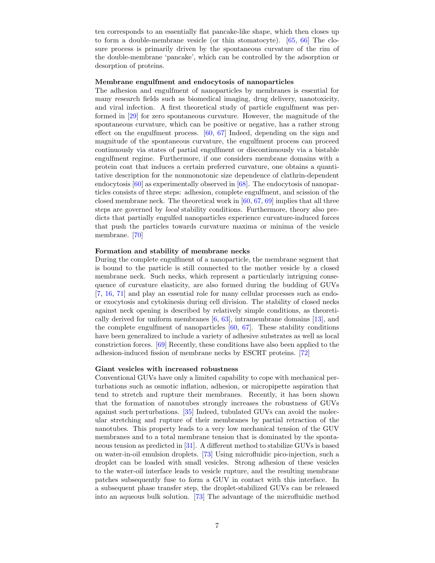ten corresponds to an essentially flat pancake-like shape, which then closes up to form a double-membrane vesicle (or thin stomatocyte). [\[65,](#page-10-2) [66\]](#page-10-3) The closure process is primarily driven by the spontaneous curvature of the rim of the double-membrane 'pancake', which can be controlled by the adsorption or desorption of proteins.

## Membrane engulfment and endocytosis of nanoparticles

The adhesion and engulfment of nanoparticles by membranes is essential for many research fields such as biomedical imaging, drug delivery, nanotoxicity, and viral infection. A first theoretical study of particle engulfment was performed in [\[29\]](#page-8-7) for zero spontaneous curvature. However, the magnitude of the spontaneous curvature, which can be positive or negative, has a rather strong effect on the engulfment process. [\[60,](#page-9-17) [67\]](#page-10-4) Indeed, depending on the sign and magnitude of the spontaneous curvature, the engulfment process can proceed continuously via states of partial engulfment or discontinuously via a bistable engulfment regime. Furthermore, if one considers membrane domains with a protein coat that induces a certain preferred curvature, one obtains a quantitative description for the nonmonotonic size dependence of clathrin-dependent endocytosis [\[60\]](#page-9-17) as experimentally observed in [\[68\]](#page-10-5). The endocytosis of nanoparticles consists of three steps: adhesion, complete engulfment, and scission of the closed membrane neck. The theoretical work in [\[60,](#page-9-17) [67,](#page-10-4) [69\]](#page-10-6) implies that all three steps are governed by local stability conditions. Furthermore, theory also predicts that partially engulfed nanoparticles experience curvature-induced forces that push the particles towards curvature maxima or minima of the vesicle membrane. [\[70\]](#page-10-7)

## Formation and stability of membrane necks

During the complete engulfment of a nanoparticle, the membrane segment that is bound to the particle is still connected to the mother vesicle by a closed membrane neck. Such necks, which represent a particularly intriguing consequence of curvature elasticity, are also formed during the budding of GUVs [\[7,](#page-7-6) [16,](#page-7-15) [71\]](#page-10-8) and play an essential role for many cellular processes such as endoor exocytosis and cytokinesis during cell division. The stability of closed necks against neck opening is described by relatively simple conditions, as theoretically derived for uniform membranes [\[6,](#page-7-5) [63\]](#page-10-0), intramembrane domains [\[13\]](#page-7-12), and the complete engulfment of nanoparticles [\[60,](#page-9-17) [67\]](#page-10-4). These stability conditions have been generalized to include a variety of adhesive substrates as well as local constriction forces. [\[69\]](#page-10-6) Recently, these conditions have also been applied to the adhesion-induced fission of membrane necks by ESCRT proteins. [\[72\]](#page-10-9)

## Giant vesicles with increased robustness

Conventional GUVs have only a limited capability to cope with mechanical perturbations such as osmotic inflation, adhesion, or micropipette aspiration that tend to stretch and rupture their membranes. Recently, it has been shown that the formation of nanotubes strongly increases the robustness of GUVs against such perturbations. [\[35\]](#page-8-13) Indeed, tubulated GUVs can avoid the molecular stretching and rupture of their membranes by partial retraction of the nanotubes. This property leads to a very low mechanical tension of the GUV membranes and to a total membrane tension that is dominated by the spontaneous tension as predicted in [\[31\]](#page-8-9). A different method to stabilize GUVs is based on water-in-oil emulsion droplets. [\[73\]](#page-10-10) Using microfluidic pico-injection, such a droplet can be loaded with small vesicles. Strong adhesion of these vesicles to the water-oil interface leads to vesicle rupture, and the resulting membrane patches subsequently fuse to form a GUV in contact with this interface. In a subsequent phase transfer step, the droplet-stabilized GUVs can be released into an aqueous bulk solution. [\[73\]](#page-10-10) The advantage of the microfluidic method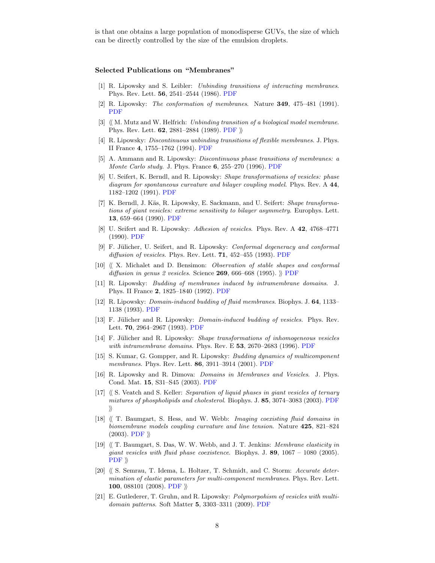is that one obtains a large population of monodisperse GUVs, the size of which can be directly controlled by the size of the emulsion droplets.

#### Selected Publications on "Membranes"

- <span id="page-7-0"></span>[1] R. Lipowsky and S. Leibler: Unbinding transitions of interacting membranes. Phys. Rev. Lett. 56, 2541–2544 (1986). [PDF](http://www.mpikg.mpg.de/rl/P/archive/033.pdf)
- <span id="page-7-1"></span>[2] R. Lipowsky: The conformation of membranes. Nature 349, 475–481 (1991). [PDF](http://www.mpikg.mpg.de/rl/P/archive/070.pdf)
- <span id="page-7-2"></span>[3]  $\langle M. Multz and W. Helfrich: *Unbinding transition of a biological model membrane*.$ Phys. Rev. Lett. 62, 2881–2884 (1989). [PDF](http://www.mpikg.mpg.de/rl/P/archive3/mutz89.pdf)  $\rangle\!\rangle$
- <span id="page-7-3"></span>[4] R. Lipowsky: Discontinuous unbinding transitions of flexible membranes. J. Phys. II France 4, 1755–1762 (1994). [PDF](http://www.mpikg.mpg.de/rl/P/archive/118.pdf)
- <span id="page-7-4"></span>[5] A. Ammann and R. Lipowsky: Discontinuous phase transitions of membranes: a *Monte Carlo study.* J. Phys. France  $6, 255-270$  (1996). [PDF](http://www.mpikg.mpg.de/rl/P/archive/124.pdf)
- <span id="page-7-5"></span>[6] U. Seifert, K. Berndl, and R. Lipowsky: Shape transformations of vesicles: phase diagram for spontaneous curvature and bilayer coupling model. Phys. Rev. A 44, 1182–1202 (1991). [PDF](http://www.mpikg.mpg.de/rl/P/archive/075.pdf)
- <span id="page-7-6"></span>[7] K. Berndl, J. Käs, R. Lipowsky, E. Sackmann, and U. Seifert: *Shape transforma*tions of giant vesicles: extreme sensitivity to bilayer asymmetry. Europhys. Lett. 13, 659–664 (1990). [PDF](http://www.mpikg.mpg.de/rl/P/archive/073.pdf)
- <span id="page-7-7"></span>[8] U. Seifert and R. Lipowsky: Adhesion of vesicles. Phys. Rev. A 42, 4768–4771 (1990). [PDF](http://www.mpikg.mpg.de/rl/P/archive/067.pdf)
- <span id="page-7-8"></span>[9] F. Jülicher, U. Seifert, and R. Lipowsky: Conformal degeneracy and conformal diffusion of vesicles. Phys. Rev. Lett.  $71$ , 452-455 (1993). [PDF](http://www.mpikg.mpg.de/rl/P/archive/106.pdf)
- <span id="page-7-9"></span>[10]  $\langle X \rangle$  X. Michalet and D. Bensimon: Observation of stable shapes and conformal diffusion in genus 2 vesicles. Science 269, 666–668 (1995).  $\parallel$  [PDF](http://www.mpikg.mpg.de/rl/P/archive3/mich95.pdf)
- <span id="page-7-10"></span>[11] R. Lipowsky: Budding of membranes induced by intramembrane domains. J. Phys. II France 2, 1825–1840 (1992). [PDF](http://www.mpikg.mpg.de/rl/P/archive/099.pdf)
- <span id="page-7-11"></span>[12] R. Lipowsky: Domain-induced budding of fluid membranes. Biophys. J. 64, 1133– 1138 (1993). [PDF](http://www.mpikg.mpg.de/rl/P/archive/097.pdf)
- <span id="page-7-12"></span>[13] F. Jülicher and R. Lipowsky: *Domain-induced budding of vesicles*. Phys. Rev. Lett. 70, 2964–2967 (1993). [PDF](http://www.mpikg.mpg.de/rl/P/archive/104.pdf)
- <span id="page-7-13"></span>[14] F. Jülicher and R. Lipowsky: Shape transformations of inhomogeneous vesicles with intramembrane domains. Phys. Rev. E 53, 2670–2683 (1996). [PDF](http://www.mpikg.mpg.de/rl/P/archive/123.pdf)
- <span id="page-7-14"></span>[15] S. Kumar, G. Gompper, and R. Lipowsky: Budding dynamics of multicomponent membranes. Phys. Rev. Lett. 86, 3911–3914 (2001). [PDF](http://www.mpikg.mpg.de/rl/P/archive/161.pdf)
- <span id="page-7-15"></span>[16] R. Lipowsky and R. Dimova: *Domains in Membranes and Vesicles*. J. Phys. Cond. Mat. 15, S31–S45 (2003). [PDF](http://www.mpikg.mpg.de/rl/P/archive/195.pdf)
- <span id="page-7-16"></span> $[17]$   $\langle$  S. Veatch and S. Keller: *Separation of liquid phases in giant vesicles of ternary* mixtures of phospholipids and cholesterol. Biophys. J. 85, 3074–3083 (2003). [PDF](http://www.mpikg.mpg.de/rl/P/archive3/veat03.pdf)  $\rangle$
- <span id="page-7-17"></span> $[18]$   $\langle\langle$  T. Baumgart, S. Hess, and W. Webb: *Imaging coexisting fluid domains in* biomembrane models coupling curvature and line tension. Nature 425, 821–824  $(2003)$ . [PDF](http://www.mpikg.mpg.de/rl/P/archive3/baum03.pdf)  $\rangle\!\rangle$
- <span id="page-7-18"></span>[19]  $\langle$  T. Baumgart, S. Das, W. W. Webb, and J. T. Jenkins: *Membrane elasticity in* giant vesicles with fluid phase coexistence. Biophys. J.  $89$ ,  $1067 - 1080$  (2005).  $PDF \n$  $PDF \n$
- <span id="page-7-19"></span>[20]  $\langle S \rangle$  S. Semrau, T. Idema, L. Holtzer, T. Schmidt, and C. Storm: Accurate determination of elastic parameters for multi-component membranes. Phys. Rev. Lett. 100, 088101 (2008). [PDF](http://www.mpikg.mpg.de/rl/P/archive3/baum05.pdf)  $\mathcal{P}$
- <span id="page-7-20"></span>[21] E. Gutlederer, T. Gruhn, and R. Lipowsky: Polymorpohism of vesicles with multidomain patterns. Soft Matter 5, 3303–3311 (2009). [PDF](http://www.mpikg.mpg.de/rl/P/archive/281.pdf)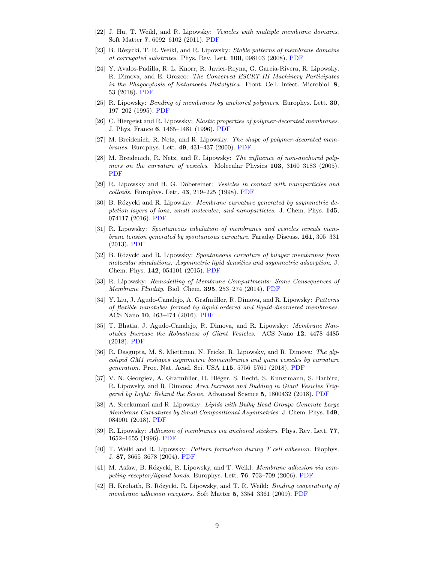- <span id="page-8-0"></span>[22] J. Hu, T. Weikl, and R. Lipowsky: Vesicles with multiple membrane domains. Soft Matter 7, 6092–6102 (2011). [PDF](http://www.mpikg.mpg.de/rl/P/archive/336.pdf)
- <span id="page-8-1"></span>[23] B. Rózycki, T. R. Weikl, and R. Lipowsky: Stable patterns of membrane domains at corrugated substrates. Phys. Rev. Lett. 100, 098103 (2008). [PDF](http://www.mpikg.mpg.de/rl/P/archive/283.pdf)
- <span id="page-8-2"></span>[24] Y. Avalos-Padilla, R. L. Knorr, R. Javier-Reyna, G. García-Rivera, R. Lipowsky, R. Dimova, and E. Orozco: The Conserved ESCRT-III Machinery Participates in the Phagocytosis of Entamoeba Histolytica. Front. Cell. Infect. Microbiol. 8, 53 (2018). [PDF](http://www.mpikg.mpg.de/rl/P/archive/427.pdf)
- <span id="page-8-3"></span>[25] R. Lipowsky: Bending of membranes by anchored polymers. Europhys. Lett. 30, 197–202 (1995). [PDF](http://www.mpikg.mpg.de/rl/P/archive/122.pdf)
- <span id="page-8-4"></span>[26] C. Hiergeist and R. Lipowsky: Elastic properties of polymer-decorated membranes. J. Phys. France 6, 1465–1481 (1996). [PDF](http://www.mpikg.mpg.de/rl/P/archive/129.pdf)
- <span id="page-8-5"></span>[27] M. Breidenich, R. Netz, and R. Lipowsky: The shape of polymer-decorated membranes. Europhys. Lett. 49, 431–437 (2000). [PDF](http://www.mpikg.mpg.de/rl/P/archive/165.pdf)
- <span id="page-8-6"></span>[28] M. Breidenich, R. Netz, and R. Lipowsky: The influence of non-anchored polymers on the curvature of vesicles. Molecular Physics 103, 3160–3183 (2005). [PDF](http://www.mpikg.mpg.de/rl/P/archive/179.pdf)
- <span id="page-8-7"></span>[29] R. Lipowsky and H. G. Döbereiner: Vesicles in contact with nanoparticles and  $colloids.$  Europhys. Lett.  $43, 219-225$  (1998). [PDF](http://www.mpikg.mpg.de/rl/P/archive/144.pdf)
- <span id="page-8-8"></span>[30] B. Rózycki and R. Lipowsky: Membrane curvature generated by asymmetric depletion layers of ions, small molecules, and nanoparticles. J. Chem. Phys. 145, 074117 (2016). [PDF](http://www.mpikg.mpg.de/rl/P/archive/410.pdf)
- <span id="page-8-9"></span>[31] R. Lipowsky: Spontaneous tubulation of membranes and vesicles reveals membrane tension generated by spontaneous curvature. Faraday Discuss. 161, 305–331 (2013). [PDF](http://www.mpikg.mpg.de/rl/P/archive/343.pdf)
- <span id="page-8-10"></span>[32] B. Rózycki and R. Lipowsky: Spontaneous curvature of bilayer membranes from molecular simulations: Asymmetric lipid densities and asymmetric adsorption. J. Chem. Phys. 142, 054101 (2015). [PDF](http://www.mpikg.mpg.de/rl/P/archive/391.pdf)
- <span id="page-8-11"></span>[33] R. Lipowsky: Remodelling of Membrane Compartments: Some Consequences of Membrane Fluidity. Biol. Chem. 395, 253–274 (2014). [PDF](http://www.mpikg.mpg.de/rl/P/archive/361.pdf)
- <span id="page-8-12"></span>[34] Y. Liu, J. Agudo-Canalejo, A. Grafmüller, R. Dimova, and R. Lipowsky: Patterns of flexible nanotubes formed by liquid-ordered and liquid-disordered membranes. ACS Nano 10, 463–474 (2016). [PDF](http://www.mpikg.mpg.de/rl/P/archive/357.pdf)
- <span id="page-8-13"></span>[35] T. Bhatia, J. Agudo-Canalejo, R. Dimova, and R. Lipowsky: Membrane Nanotubes Increase the Robustness of Giant Vesicles. ACS Nano 12, 4478–4485 (2018). [PDF](http://www.mpikg.mpg.de/rl/P/archive/426.pdf)
- <span id="page-8-14"></span>[36] R. Dasgupta, M. S. Miettinen, N. Fricke, R. Lipowsky, and R. Dimova: The glycolipid GM1 reshapes asymmetric biomembranes and giant vesicles by curvature generation. Proc. Nat. Acad. Sci. USA 115, 5756–5761 (2018). [PDF](http://www.mpikg.mpg.de/rl/P/archive/394.pdf)
- <span id="page-8-15"></span>[37] V. N. Georgiev, A. Grafmüller, D. Bléger, S. Hecht, S. Kunstmann, S. Barbirz, R. Lipowsky, and R. Dimova: Area Increase and Budding in Giant Vesicles Triggered by Light: Behind the Scene. Advanced Science 5, 1800432 (2018). [PDF](http://www.mpikg.mpg.de/rl/P/archive/424.pdf)
- <span id="page-8-16"></span>[38] A. Sreekumari and R. Lipowsky: Lipids with Bulky Head Groups Generate Large Membrane Curvatures by Small Compositional Asymmetries. J. Chem. Phys. 149, 084901 (2018). [PDF](http://www.mpikg.mpg.de/rl/P/archive/439.pdf)
- <span id="page-8-17"></span>[39] R. Lipowsky: Adhesion of membranes via anchored stickers. Phys. Rev. Lett. 77, 1652–1655 (1996). [PDF](http://www.mpikg.mpg.de/rl/P/archive/130.pdf)
- <span id="page-8-18"></span>[40] T. Weikl and R. Lipowsky: Pattern formation during T cell adhesion. Biophys. J. 87, 3665–3678 (2004). [PDF](http://www.mpikg.mpg.de/rl/P/archive/206.pdf)
- <span id="page-8-19"></span>[41] M. Asfaw, B. Rózycki, R. Lipowsky, and T. Weikl: *Membrane adhesion via com*peting receptor/ligand bonds. Europhys. Lett. 76, 703–709 (2006). [PDF](http://www.mpikg.mpg.de/rl/P/archive/262.pdf)
- <span id="page-8-20"></span>[42] H. Krobath, B. Rózycki, R. Lipowsky, and T. R. Weikl: *Binding cooperativity of* membrane adhesion receptors. Soft Matter 5, 3354–3361 (2009). [PDF](http://www.mpikg.mpg.de/rl/P/archive/313.pdf)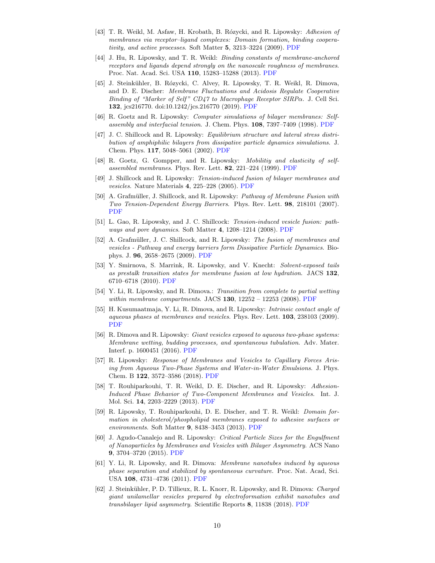- <span id="page-9-0"></span>[43] T. R. Weikl, M. Asfaw, H. Krobath, B. Rózycki, and R. Lipowsky: Adhesion of membranes via receptor–ligand complexes: Domain formation, binding cooperativity, and active processes. Soft Matter 5, 3213–3224 (2009). [PDF](http://www.mpikg.mpg.de/rl/P/archive/309.pdf)
- <span id="page-9-1"></span>[44] J. Hu, R. Lipowsky, and T. R. Weikl: Binding constants of membrane-anchored receptors and ligands depend strongly on the nanoscale roughness of membranes. Proc. Nat. Acad. Sci. USA 110, 15283–15288 (2013). [PDF](http://www.mpikg.mpg.de/rl/P/archive/378.pdf)
- <span id="page-9-2"></span>[45] J. Steink¨uhler, B. R´ozycki, C. Alvey, R. Lipowsky, T. R. Weikl, R. Dimova, and D. E. Discher: Membrane Fluctuations and Acidosis Regulate Cooperative Binding of "Marker of Self" CD47 to Macrophage Receptor SIRP $\alpha$ . J. Cell Sci. 132, jcs216770. doi:10.1242/jcs.216770 (2019). [PDF](http://www.mpikg.mpg.de/rl/P/archive/431onl.pdf)
- <span id="page-9-3"></span>[46] R. Goetz and R. Lipowsky: Computer simulations of bilayer membranes: Selfassembly and interfacial tension. J. Chem. Phys. 108, 7397–7409 (1998). [PDF](http://www.mpikg.mpg.de/rl/P/archive/137.pdf)
- <span id="page-9-4"></span>[47] J. C. Shillcock and R. Lipowsky: Equilibrium structure and lateral stress distribution of amphiphilic bilayers from dissipative particle dynamics simulations. J. Chem. Phys. 117, 5048–5061 (2002). [PDF](http://www.mpikg.mpg.de/rl/P/archive/184.pdf)
- <span id="page-9-5"></span>[48] R. Goetz, G. Gompper, and R. Lipowsky: Mobilitiy and elasticity of selfassembled membranes. Phys. Rev. Lett. 82, 221–224 (1999). [PDF](http://www.mpikg.mpg.de/rl/P/archive/154.pdf)
- <span id="page-9-6"></span>[49] J. Shillcock and R. Lipowsky: Tension-induced fusion of bilayer membranes and vesicles. Nature Materials 4, 225–228 (2005). [PDF](http://www.mpikg.mpg.de/rl/P/archive/209.pdf)
- <span id="page-9-7"></span>[50] A. Grafmüller, J. Shillcock, and R. Lipowsky: Pathway of Membrane Fusion with Two Tension-Dependent Energy Barriers. Phys. Rev. Lett. 98, 218101 (2007). [PDF](http://www.mpikg.mpg.de/rl/P/archive/249.pdf)
- <span id="page-9-8"></span>[51] L. Gao, R. Lipowsky, and J. C. Shillcock: Tension-induced vesicle fusion: pathways and pore dynamics. Soft Matter 4, 1208–1214 (2008). [PDF](http://www.mpikg.mpg.de/rl/P/archive/269.pdf)
- <span id="page-9-9"></span>[52] A. Grafmüller, J. C. Shillcock, and R. Lipowsky: The fusion of membranes and vesicles - Pathway and energy barriers form Dissipative Particle Dynamics. Biophys. J. 96, 2658–2675 (2009). [PDF](http://www.mpikg.mpg.de/rl/P/archive/291.pdf)
- <span id="page-9-10"></span>[53] Y. Smirnova, S. Marrink, R. Lipowsky, and V. Knecht: Solvent-exposed tails as prestalk transition states for membrane fusion at low hydration. JACS 132, 6710–6718 (2010). [PDF](http://www.mpikg.mpg.de/rl/P/archive/326.pdf)
- <span id="page-9-11"></span>[54] Y. Li, R. Lipowsky, and R. Dimova.: Transition from complete to partial wetting within membrane compartments. JACS  $130$ ,  $12252 - 12253$  (2008). [PDF](http://www.mpikg.mpg.de/rl/P/archive/296.pdf)
- <span id="page-9-12"></span>[55] H. Kusumaatmaja, Y. Li, R. Dimova, and R. Lipowsky: Intrinsic contact angle of aqueous phases at membranes and vesicles. Phys. Rev. Lett. 103, 238103 (2009). [PDF](http://www.mpikg.mpg.de/rl/P/archive/323.pdf)
- <span id="page-9-13"></span>[56] R. Dimova and R. Lipowsky: Giant vesicles exposed to aqueous two-phase systems: Membrane wetting, budding processes, and spontaneous tubulation. Adv. Mater. Interf. p. 1600451 (2016). [PDF](http://www.mpikg.mpg.de/rl/P/archive/417.pdf)
- <span id="page-9-14"></span>[57] R. Lipowsky: Response of Membranes and Vesicles to Capillary Forces Arising from Aqueous Two-Phase Systems and Water-in-Water Emulsions. J. Phys. Chem. B 122, 3572–3586 (2018). [PDF](http://www.mpikg.mpg.de/rl/P/archive/435.pdf)
- <span id="page-9-15"></span>[58] T. Rouhiparkouhi, T. R. Weikl, D. E. Discher, and R. Lipowsky: Adhesion-Induced Phase Behavior of Two-Component Membranes and Vesicles. Int. J. Mol. Sci. 14, 2203–2229 (2013). [PDF](http://www.mpikg.mpg.de/rl/P/archive/381.pdf)
- <span id="page-9-16"></span>[59] R. Lipowsky, T. Rouhiparkouhi, D. E. Discher, and T. R. Weikl: Domain formation in cholesterol/phospholipid membranes exposed to adhesive surfaces or environments. Soft Matter 9, 8438–3453 (2013). [PDF](http://www.mpikg.mpg.de/rl/P/archive/360.pdf)
- <span id="page-9-17"></span>[60] J. Agudo-Canalejo and R. Lipowsky: Critical Particle Sizes for the Engulfment of Nanoparticles by Membranes and Vesicles with Bilayer Asymmetry. ACS Nano 9, 3704–3720 (2015). [PDF](http://www.mpikg.mpg.de/rl/P/archive/393.pdf)
- <span id="page-9-18"></span>[61] Y. Li, R. Lipowsky, and R. Dimova: Membrane nanotubes induced by aqueous phase separation and stabilized by spontaneous curvature. Proc. Nat. Acad, Sci. USA 108, 4731–4736 (2011). [PDF](http://www.mpikg.mpg.de/rl/P/archive/289.pdf)
- <span id="page-9-19"></span>[62] J. Steinkühler, P. D. Tillieux, R. L. Knorr, R. Lipowsky, and R. Dimova: Charged giant unilamellar vesicles prepared by electroformation exhibit nanotubes and transbilayer lipid asymmetry. Scientific Reports 8, 11838 (2018). [PDF](http://www.mpikg.mpg.de/rl/P/archive/443.pdf)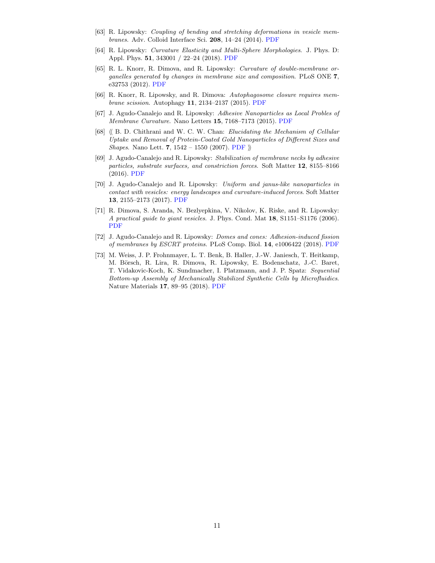- <span id="page-10-0"></span>[63] R. Lipowsky: Coupling of bending and stretching deformations in vesicle membranes. Adv. Colloid Interface Sci. 208, 14–24 (2014). [PDF](http://www.mpikg.mpg.de/rl/P/archive/377.pdf)
- <span id="page-10-1"></span>[64] R. Lipowsky: Curvature Elasticity and Multi-Sphere Morphologies. J. Phys. D: Appl. Phys. 51, 343001 / 22–24 (2018). [PDF](http://www.mpikg.mpg.de/rl/P/archive/436.pdf)
- <span id="page-10-2"></span>[65] R. L. Knorr, R. Dimova, and R. Lipowsky: Curvature of double-membrane organelles generated by changes in membrane size and composition. PLoS ONE 7, e32753 (2012). [PDF](http://www.mpikg.mpg.de/rl/P/archive/334.pdf)
- <span id="page-10-3"></span>[66] R. Knorr, R. Lipowsky, and R. Dimova: Autophagosome closure requires membrane scission. Autophagy 11, 2134–2137 (2015). [PDF](http://www.mpikg.mpg.de/rl/P/archive/401.pdf)
- <span id="page-10-4"></span>[67] J. Agudo-Canalejo and R. Lipowsky: Adhesive Nanoparticles as Local Probles of Membrane Curvature. Nano Letters 15, 7168–7173 (2015). [PDF](http://www.mpikg.mpg.de/rl/P/archive/411.pdf)
- <span id="page-10-5"></span>[68]  $\langle$  B. D. Chithrani and W. C. W. Chan: Elucidating the Mechanism of Cellular Uptake and Removal of Protein-Coated Gold Nanoparticles of Different Sizes and Shapes. Nano Lett. 7, 1542 – 1550 (2007). [PDF](http://www.mpikg.mpg.de/rl/P/archive3/chit07.pdf)  $\mathcal{P}$
- <span id="page-10-6"></span>[69] J. Agudo-Canalejo and R. Lipowsky: Stabilization of membrane necks by adhesive particles, substrate surfaces, and constriction forces. Soft Matter 12, 8155–8166 (2016). [PDF](http://www.mpikg.mpg.de/rl/P/archive/414.pdf)
- <span id="page-10-7"></span>[70] J. Agudo-Canalejo and R. Lipowsky: Uniform and janus-like nanoparticles in contact with vesicles: energy landscapes and curvature-induced forces. Soft Matter 13, 2155–2173 (2017). [PDF](http://www.mpikg.mpg.de/rl/P/archive/421.pdf)
- <span id="page-10-8"></span>[71] R. Dimova, S. Aranda, N. Bezlyepkina, V. Nikolov, K. Riske, and R. Lipowsky: A practical guide to giant vesicles. J. Phys. Cond. Mat 18, S1151–S1176 (2006). [PDF](http://www.mpikg.mpg.de/rl/P/archive/248.pdf)
- <span id="page-10-9"></span>[72] J. Agudo-Canalejo and R. Lipowsky: Domes and cones: Adhesion-induced fission of membranes by ESCRT proteins. PLoS Comp. Biol. 14, e1006422 (2018). [PDF](http://www.mpikg.mpg.de/rl/P/archive/429.pdf)
- <span id="page-10-10"></span>[73] M. Weiss, J. P. Frohnmayer, L. T. Benk, B. Haller, J.-W. Janiesch, T. Heitkamp, M. Börsch, R. Lira, R. Dimova, R. Lipowsky, E. Bodenschatz, J.-C. Baret, T. Vidakovic-Koch, K. Sundmacher, I. Platzmann, and J. P. Spatz: Sequential Bottom-up Assembly of Mechanically Stabilized Synthetic Cells by Microfluidics. Nature Materials 17, 89–95 (2018). [PDF](http://www.mpikg.mpg.de/rl/P/archive/419.pdf)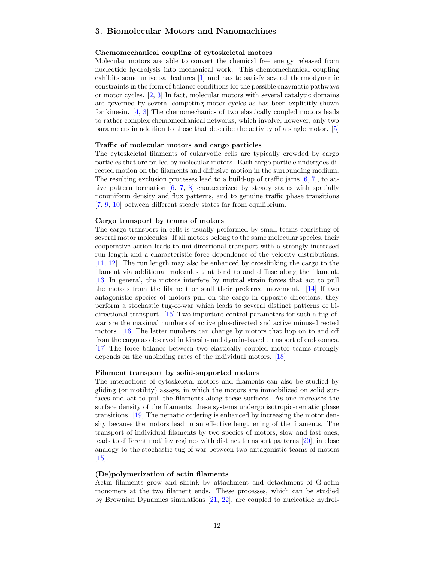# <span id="page-11-0"></span>3. Biomolecular Motors and Nanomachines

## <span id="page-11-1"></span>Chemomechanical coupling of cytoskeletal motors

Molecular motors are able to convert the chemical free energy released from nucleotide hydrolysis into mechanical work. This chemomechanical coupling exhibits some universal features [\[1\]](#page-12-0) and has to satisfy several thermodynamic constraints in the form of balance conditions for the possible enzymatic pathways or motor cycles. [\[2,](#page-12-1) [3\]](#page-12-2) In fact, molecular motors with several catalytic domains are governed by several competing motor cycles as has been explicitly shown for kinesin. [\[4,](#page-12-3) [3\]](#page-12-2) The chemomechanics of two elastically coupled motors leads to rather complex chemomechanical networks, which involve, however, only two parameters in addition to those that describe the activity of a single motor. [\[5\]](#page-12-4)

## Traffic of molecular motors and cargo particles

The cytoskeletal filaments of eukaryotic cells are typically crowded by cargo particles that are pulled by molecular motors. Each cargo particle undergoes directed motion on the filaments and diffusive motion in the surrounding medium. The resulting exclusion processes lead to a build-up of traffic jams [\[6,](#page-12-5) [7\]](#page-12-6), to active pattern formation [\[6,](#page-12-5) [7,](#page-12-6) [8\]](#page-12-7) characterized by steady states with spatially nonuniform density and flux patterns, and to genuine traffic phase transitions [\[7,](#page-12-6) [9,](#page-12-8) [10\]](#page-12-9) between different steady states far from equilibrium.

#### Cargo transport by teams of motors

The cargo transport in cells is usually performed by small teams consisting of several motor molecules. If all motors belong to the same molecular species, their cooperative action leads to uni-directional transport with a strongly increased run length and a characteristic force dependence of the velocity distributions. [\[11,](#page-12-10) [12\]](#page-13-0). The run length may also be enhanced by crosslinking the cargo to the filament via additional molecules that bind to and diffuse along the filament. [\[13\]](#page-13-1) In general, the motors interfere by mutual strain forces that act to pull the motors from the filament or stall their preferred movement. [\[14\]](#page-13-2) If two antagonistic species of motors pull on the cargo in opposite directions, they perform a stochastic tug-of-war which leads to several distinct patterns of bidirectional transport. [\[15\]](#page-13-3) Two important control parameters for such a tug-ofwar are the maximal numbers of active plus-directed and active minus-directed motors. [\[16\]](#page-13-4) The latter numbers can change by motors that hop on to and off from the cargo as observed in kinesin- and dynein-based transport of endosomes. [\[17\]](#page-13-5) The force balance between two elastically coupled motor teams strongly depends on the unbinding rates of the individual motors. [\[18\]](#page-13-6)

#### Filament transport by solid-supported motors

The interactions of cytoskeletal motors and filaments can also be studied by gliding (or motility) assays, in which the motors are immobilized on solid surfaces and act to pull the filaments along these surfaces. As one increases the surface density of the filaments, these systems undergo isotropic-nematic phase transitions. [\[19\]](#page-13-7) The nematic ordering is enhanced by increasing the motor density because the motors lead to an effective lengthening of the filaments. The transport of individual filaments by two species of motors, slow and fast ones, leads to different motility regimes with distinct transport patterns [\[20\]](#page-13-8), in close analogy to the stochastic tug-of-war between two antagonistic teams of motors [\[15\]](#page-13-3).

#### (De)polymerization of actin filaments

Actin filaments grow and shrink by attachment and detachment of G-actin monomers at the two filament ends. These processes, which can be studied by Brownian Dynamics simulations [\[21,](#page-13-9) [22\]](#page-13-10), are coupled to nucleotide hydrol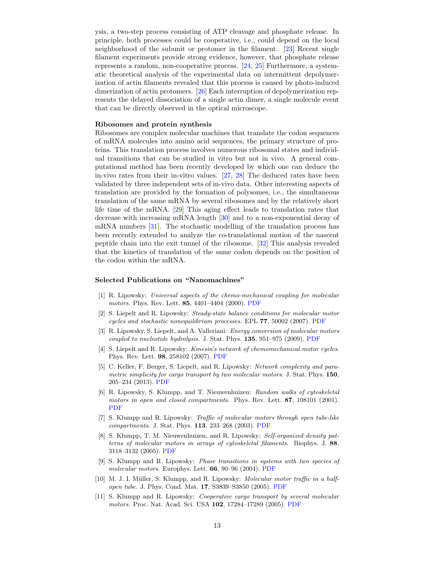ysis, a two-step process consisting of ATP cleavage and phosphate release. In principle, both processes could be cooperative, i.e., could depend on the local neighborhood of the subunit or protomer in the filament. [\[23\]](#page-13-11) Recent single filament experiments provide strong evidence, however, that phosphate release represents a random, non-cooperative process. [\[24,](#page-13-12) [25\]](#page-13-13) Furthermore, a systematic theoretical analysis of the experimental data on intermittent depolymerization of actin filaments revealed that this process is caused by photo-induced dimerization of actin protomers. [\[26\]](#page-13-14) Each interruption of depolymerization represents the delayed dissociation of a single actin dimer, a single molecule event that can be directly observed in the optical microscope.

## Ribosomes and protein synthesis

Ribosomes are complex molecular machines that translate the codon sequences of mRNA molecules into amino acid sequences, the primary structure of proteins. This translation process involves numerous ribosomal states and individual transitions that can be studied in vitro but not in vivo. A general computational method has been recently developed by which one can deduce the in-vivo rates from their in-vitro values. [\[27,](#page-13-15) [28\]](#page-13-16) The deduced rates have been validated by three independent sets of in-vivo data. Other interesting aspects of translation are provided by the formation of polysomes, i.e., the simultaneous translation of the same mRNA by several ribosomes and by the relatively short life time of the mRNA. [\[29\]](#page-13-17) This aging effect leads to translation rates that decrease with increasing mRNA length [\[30\]](#page-13-18) and to a non-exponential decay of mRNA numbers [\[31\]](#page-13-19). The stochastic modelling of the translation process has been recently extended to analyze the co-translational motion of the nascent peptide chain into the exit tunnel of the ribosome. [\[32\]](#page-13-20) This analysis revealed that the kinetics of translation of the same codon depends on the position of the codon within the mRNA.

#### Selected Publications on "Nanomachines"

- <span id="page-12-0"></span>[1] R. Lipowsky: Universal aspects of the chemo-mechanical coupling for molecular motors. Phys. Rev. Lett. 85, 4401–4404 (2000). [PDF](http://www.mpikg.mpg.de/rl/P/archive/171.pdf)
- <span id="page-12-1"></span>[2] S. Liepelt and R. Lipowsky: Steady-state balance conditions for molecular motor cycles and stochastic nonequilibrium processes. EPL 77, 50002 (2007). [PDF](http://www.mpikg.mpg.de/rl/P/archive/251.pdf)
- <span id="page-12-2"></span>[3] R. Lipowsky, S. Liepelt, and A. Valleriani: Energy conversion of molecular motors coupled to nucleotide hydrolysis. J. Stat. Phys. 135, 951–975 (2009). [PDF](http://www.mpikg.mpg.de/rl/P/archive/298.pdf)
- <span id="page-12-3"></span>[4] S. Liepelt and R. Lipowsky: Kinesin's network of chemomechanical motor cycles. Phys. Rev. Lett. 98, 258102 (2007). [PDF](http://www.mpikg.mpg.de/rl/P/archive/257.pdf)
- <span id="page-12-4"></span>[5] C. Keller, F. Berger, S. Liepelt, and R. Lipowsky: Network complexity and parametric simplicity for cargo transport by two molecular motors. J. Stat. Phys. 150, 205–234 (2013). [PDF](http://www.mpikg.mpg.de/rl/P/archive/358.pdf)
- <span id="page-12-5"></span>[6] R. Lipowsky, S. Klumpp, and T. Nieuwenhuizen: Random walks of cytoskeletal motors in open and closed compartments. Phys. Rev. Lett. 87, 108101 (2001). [PDF](http://www.mpikg.mpg.de/rl/P/archive/173.pdf)
- <span id="page-12-6"></span>[7] S. Klumpp and R. Lipowsky: Traffic of molecular motors through open tube-like compartments. J. Stat. Phys. 113, 233–268 (2003). [PDF](http://www.mpikg.mpg.de/rl/P/archive/188.pdf)
- <span id="page-12-7"></span>[8] S. Klumpp, T. M. Nieuwenhuizen, and R. Lipowsky: Self-organized density patterns of molecular motors in arrays of cytoskeletal filaments. Biophys. J. 88, 3118–3132 (2005). [PDF](http://www.mpikg.mpg.de/rl/P/archive/210.pdf)
- <span id="page-12-8"></span>[9] S. Klumpp and R. Lipowsky: Phase transitions in systems with two species of molecular motors. Europhys. Lett. 66, 90–96 (2004). [PDF](http://www.mpikg.mpg.de/rl/P/archive/202.pdf)
- <span id="page-12-9"></span>[10] M. J. I. Müller, S. Klumpp, and R. Lipowsky: *Molecular motor traffic in a half*open tube. J. Phys. Cond. Mat. 17, S3839–S3850 (2005). [PDF](http://www.mpikg.mpg.de/rl/P/archive/232.pdf)
- <span id="page-12-10"></span>[11] S. Klumpp and R. Lipowsky: Cooperative cargo transport by several molecular motors. Proc. Nat. Acad. Sci. USA 102, 17284-17289 (2005). [PDF](http://www.mpikg.mpg.de/rl/P/archive/227.pdf)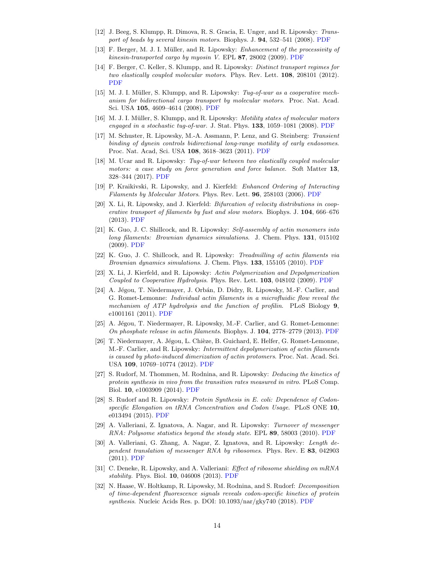- <span id="page-13-0"></span>[12] J. Beeg, S. Klumpp, R. Dimova, R. S. Gracia, E. Unger, and R. Lipowsky: Transport of beads by several kinesin motors. Biophys. J. 94, 532–541 (2008). [PDF](http://www.mpikg.mpg.de/rl/P/archive/264.pdf)
- <span id="page-13-1"></span>[13] F. Berger, M. J. I. Müller, and R. Lipowsky: Enhancement of the processivity of  $kinesin-transformed cargo by myosin V. EPL 87, 28002 (2009). PDF$  $kinesin-transformed cargo by myosin V. EPL 87, 28002 (2009). PDF$
- <span id="page-13-2"></span>[14] F. Berger, C. Keller, S. Klumpp, and R. Lipowsky: Distinct transport regimes for two elastically coupled molecular motors. Phys. Rev. Lett. 108, 208101 (2012). [PDF](http://www.mpikg.mpg.de/rl/P/archive/363.pdf)
- <span id="page-13-3"></span>[15] M. J. I. Müller, S. Klumpp, and R. Lipowsky: Tug-of-war as a cooperative mechanism for bidirectional cargo transport by molecular motors. Proc. Nat. Acad. Sci. USA 105, 4609–4614 (2008). [PDF](http://www.mpikg.mpg.de/rl/P/archive/277.pdf)
- <span id="page-13-4"></span>[16] M. J. I. Müller, S. Klumpp, and R. Lipowsky: *Motility states of molecular motors* engaged in a stochastic tug-of-war. J. Stat. Phys.  $133$ ,  $1059-1081$  (2008). [PDF](http://www.mpikg.mpg.de/rl/P/archive/297.pdf)
- <span id="page-13-5"></span>[17] M. Schuster, R. Lipowsky, M.-A. Assmann, P. Lenz, and G. Steinberg: Transient binding of dynein controls bidirectional long-range motility of early endosomes. Proc. Nat. Acad, Sci. USA 108, 3618–3623 (2011). [PDF](http://www.mpikg.mpg.de/rl/P/archive/332.pdf)
- <span id="page-13-6"></span>[18] M. Ucar and R. Lipowsky: Tug-of-war between two elastically coupled molecular motors: a case study on force generation and force balance. Soft Matter 13, 328–344 (2017). [PDF](http://www.mpikg.mpg.de/rl/P/archive/418.pdf)
- <span id="page-13-7"></span>[19] P. Kraikivski, R. Lipowsky, and J. Kierfeld: Enhanced Ordering of Interacting Filaments by Molecular Motors. Phys. Rev. Lett. 96, 258103 (2006). [PDF](http://www.mpikg.mpg.de/rl/P/archive/243.pdf)
- <span id="page-13-8"></span>[20] X. Li, R. Lipowsky, and J. Kierfeld: Bifurcation of velocity distributions in cooperative transport of filaments by fast and slow motors. Biophys. J. 104, 666–676 (2013). [PDF](http://www.mpikg.mpg.de/rl/P/archive/371.pdf)
- <span id="page-13-9"></span>[21] K. Guo, J. C. Shillcock, and R. Lipowsky: Self-assembly of actin monomers into long filaments: Brownian dynamics simulations. J. Chem. Phys. 131, 015102 (2009). [PDF](http://www.mpikg.mpg.de/rl/P/archive/270.pdf)
- <span id="page-13-10"></span>[22] K. Guo, J. C. Shillcock, and R. Lipowsky: Treadmilling of actin filaments via Brownian dynamics simulations. J. Chem. Phys. 133, 155105 (2010). [PDF](http://www.mpikg.mpg.de/rl/P/archive/330.pdf)
- <span id="page-13-11"></span>[23] X. Li, J. Kierfeld, and R. Lipowsky: Actin Polymerization and Depolymerization Coupled to Cooperative Hydrolysis. Phys. Rev. Lett. 103, 048102 (2009). [PDF](http://www.mpikg.mpg.de/rl/P/archive/286.pdf)
- <span id="page-13-12"></span>[24] A. Jégou, T. Niedermayer, J. Orbán, D. Didry, R. Lipowsky, M.-F. Carlier, and G. Romet-Lemonne: Individual actin filaments in a microfluidic flow reveal the mechanism of ATP hydrolysis and the function of profilin. PLoS Biology 9, e1001161 (2011). [PDF](http://www.mpikg.mpg.de/rl/P/archive/350.pdf)
- <span id="page-13-13"></span>[25] A. Jégou, T. Niedermayer, R. Lipowsky, M.-F. Carlier, and G. Romet-Lemonne: On phosphate release in actin filaments. Biophys. J. 104, 2778–2779 (2013). [PDF](http://www.mpikg.mpg.de/rl/P/archive/384.pdf)
- <span id="page-13-14"></span>[26] T. Niedermayer, A. Jégou, L. Chièze, B. Guichard, E. Helfer, G. Romet-Lemonne, M.-F. Carlier, and R. Lipowsky: Intermittent depolymerization of actin filaments is caused by photo-induced dimerization of actin protomers. Proc. Nat. Acad. Sci. USA 109, 10769–10774 (2012). [PDF](http://www.mpikg.mpg.de/rl/P/archive/349.pdf)
- <span id="page-13-15"></span>[27] S. Rudorf, M. Thommen, M. Rodnina, and R. Lipowsky: Deducing the kinetics of protein synthesis in vivo from the transition rates measured in vitro. PLoS Comp. Biol. 10, e1003909 (2014). [PDF](http://www.mpikg.mpg.de/rl/P/archive/366.pdf)
- <span id="page-13-16"></span>[28] S. Rudorf and R. Lipowsky: Protein Synthesis in E. coli: Dependence of Codonspecific Elongation on tRNA Concentration and Codon Usage. PLoS ONE 10, e013494 (2015). [PDF](http://www.mpikg.mpg.de/rl/P/archive/367.pdf)
- <span id="page-13-17"></span>[29] A. Valleriani, Z. Ignatova, A. Nagar, and R. Lipowsky: Turnover of messenger RNA: Polysome statistics beyond the steady state. EPL 89, 58003 (2010). [PDF](http://www.mpikg.mpg.de/rl/P/archive/320.pdf)
- <span id="page-13-18"></span>[30] A. Valleriani, G. Zhang, A. Nagar, Z. Ignatova, and R. Lipowsky: Length dependent translation of messenger RNA by ribosomes. Phys. Rev. E 83, 042903 (2011). [PDF](http://www.mpikg.mpg.de/rl/P/archive/338.pdf)
- <span id="page-13-19"></span>[31] C. Deneke, R. Lipowsky, and A. Valleriani: *Effect of ribosome shielding on mRNA* stability. Phys. Biol. 10, 046008 (2013). [PDF](http://www.mpikg.mpg.de/rl/P/archive/372.pdf)
- <span id="page-13-20"></span>[32] N. Haase, W. Holtkamp, R. Lipowsky, M. Rodnina, and S. Rudorf: Decomposition of time-dependent fluorescence signals reveals codon-specific kinetics of protein synthesis. Nucleic Acids Res. p. DOI: 10.1093/nar/gky740 (2018). [PDF](http://www.mpikg.mpg.de/rl/P/archive/438onl.pdf)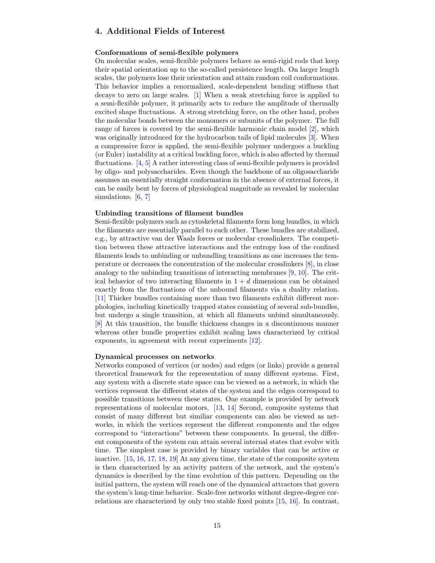# <span id="page-14-0"></span>4. Additional Fields of Interest

## <span id="page-14-1"></span>Conformations of semi-flexible polymers

On molecular scales, semi-flexible polymers behave as semi-rigid rods that keep their spatial orientation up to the so-called persistence length. On larger length scales, the polymers lose their orientation and attain random coil conformations. This behavior implies a renormalized, scale-dependent bending stiffness that decays to zero on large scales. [\[1\]](#page-15-0) When a weak stretching force is applied to a semi-flexible polymer, it primarily acts to reduce the amplitude of thermally excited shape fluctuations. A strong stretching force, on the other hand, probes the molecular bonds between the monomers or subunits of the polymer. The full range of forces is covered by the semi-flexible harmonic chain model [\[2\]](#page-15-1), which was originally introduced for the hydrocarbon tails of lipid molecules [\[3\]](#page-15-2). When a compressive force is applied, the semi-flexible polymer undergoes a buckling (or Euler) instability at a critical buckling force, which is also affected by thermal fluctuations. [\[4,](#page-15-3) [5\]](#page-15-4) A rather interesting class of semi-flexible polymers is provided by oligo- and polysaccharides. Even though the backbone of an oligosaccharide assumes an essentially straight conformation in the absence of external forces, it can be easily bent by forces of physiological magnitude as revealed by molecular simulations. [\[6,](#page-15-5) [7\]](#page-15-6)

#### Unbinding transitions of filament bundles

Semi-flexible polymers such as cytoskeletal filaments form long bundles, in which the filaments are essentially parallel to each other. These bundles are stabilized, e.g., by attractive van der Waals forces or molecular crosslinkers. The competition between these attractive interactions and the entropy loss of the confined filaments leads to unbinding or unbundling transitions as one increases the temperature or decreases the concentration of the molecular crosslinkers [\[8\]](#page-15-7), in close analogy to the unbinding transitions of interacting membranes [\[9,](#page-15-8) [10\]](#page-15-9). The critical behavior of two interacting filaments in  $1 + d$  dimensions can be obtained exactly from the fluctuations of the unbound filaments via a duality relation. [\[11\]](#page-15-10) Thicker bundles containing more than two filaments exhibit different morphologies, including kinetically trapped states consisting of several sub-bundles, but undergo a single transition, at which all filaments unbind simultaneously. [\[8\]](#page-15-7) At this transition, the bundle thickness changes in a discontinuous manner whereas other bundle properties exhibit scaling laws characterized by critical exponents, in agreement with recent experiments [\[12\]](#page-15-11).

#### Dynamical processes on networks

Networks composed of vertices (or nodes) and edges (or links) provide a general theoretical framework for the representation of many different systems. First, any system with a discrete state space can be viewed as a network, in which the vertices represent the different states of the system and the edges correspond to possible transitions between these states. One example is provided by network representations of molecular motors. [\[13,](#page-15-12) [14\]](#page-15-13) Second, composite systems that consist of many different but similiar components can also be viewed as networks, in which the vertices represent the different components and the edges correspond to "interactions" between these components. In general, the different components of the system can attain several internal states that evolve with time. The simplest case is provided by binary variables that can be active or inactive. [\[15,](#page-15-14) [16,](#page-15-15) [17,](#page-15-16) [18,](#page-15-17) [19\]](#page-15-18) At any given time, the state of the composite system is then characterized by an activity pattern of the network, and the system's dynamics is described by the time evolution of this pattern. Depending on the initial pattern, the system will reach one of the dynamical attractors that govern the system's long-time behavior. Scale-free networks without degree-degree correlations are characterized by only two stable fixed points [\[15,](#page-15-14) [16\]](#page-15-15). In contrast,